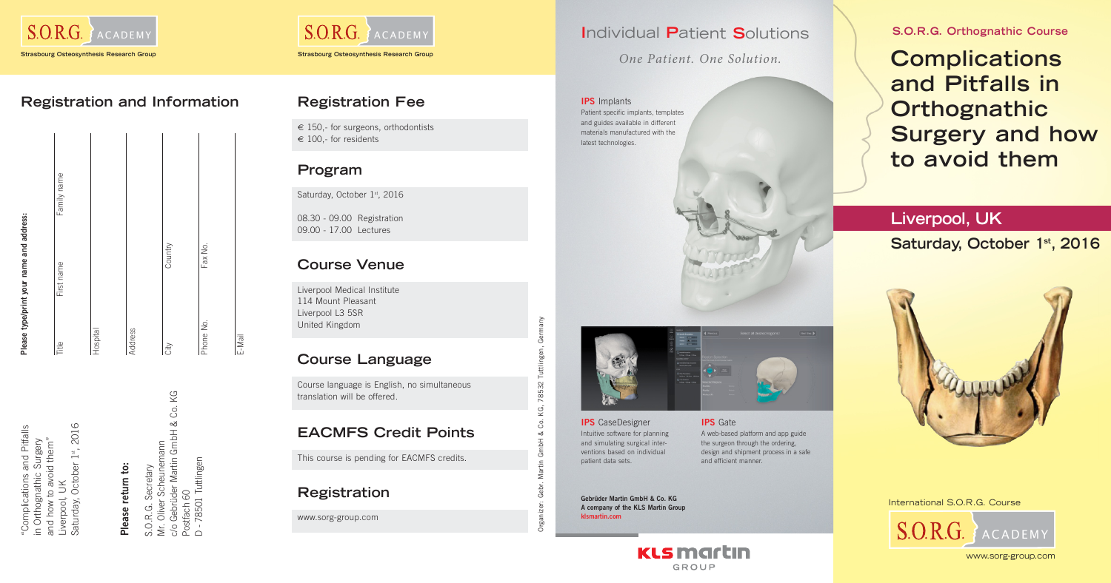

|           | Please type/print your name and address: |             |
|-----------|------------------------------------------|-------------|
| Title     | First name                               | Family name |
| Hospital  |                                          |             |
| Address   |                                          |             |
| City      | Country                                  |             |
| Phone No. | Fax No.                                  |             |
| E-Mail    |                                          |             |

"Complications and Pitfalls<br>in Orthognathic Surgery<br>and how to avoid them"<br>Liverpool, UK<br>Saturday, October 1<sup>st</sup>, 2016<br>Saturday, October 1<sup>st</sup>, 2016<br>**Please return to:**<br>S.O.R.G. Secretary<br>Mr. Oliver Scheunemann<br>Postfach 60

### **Registration and Information**



### **Liverpool, UK**

### Saturday, October 1<sup>st</sup>, 2016



International S.O.R.G. Course

www.sorg-group.com



# Organizer: Gebr. Martin GmbH & Co. KG, 78532 Tuttlingen, Germany KG, 78532 Tuttling Ś ళ Ξ  $\overline{\mathsf{S}}$ ನ್

### **Registration Fee**

 $\epsilon$  150,- for surgeons, orthodontists  $\epsilon$  100,- for residents

### **Program**

Saturday, October 1st, 2016

08.30 - 09.00 Registration 09.00 - 17.00 Lectures

### **Course Venue**

Liverpool Medical Institute 114 Mount Pleasant Liverpool L3 5SR United Kingdom

### **EACMFS Credit Points**

This course is pending for EACMFS credits.

### **Course Language**

Course language is English, no simultaneous translation will be offered.

### **Registration**

www.sorg-group.com

## **Complications and Pitfalls in Orthognathic Surgery and how to avoid them**

**S.O.R.G. Orthognathic Course**

**Gebrüder Martin GmbH & Co. KG A company of the KLS Martin Group klsmartin.com**



**IPS** Implants Patient specific implants, templates and guides available in different materials manufactured with the latest technologies.



**IPS** CaseDesigner Intuitive software for planning and simulating surgical interventions based on individual patient data sets.

**IPS** Gate A web-based platform and app guide the surgeon through the ordering, design and shipment process in a safe and efficient manner.

*One Patient. One Solution.*

### **I**ndividual **P**atient **S**olutions